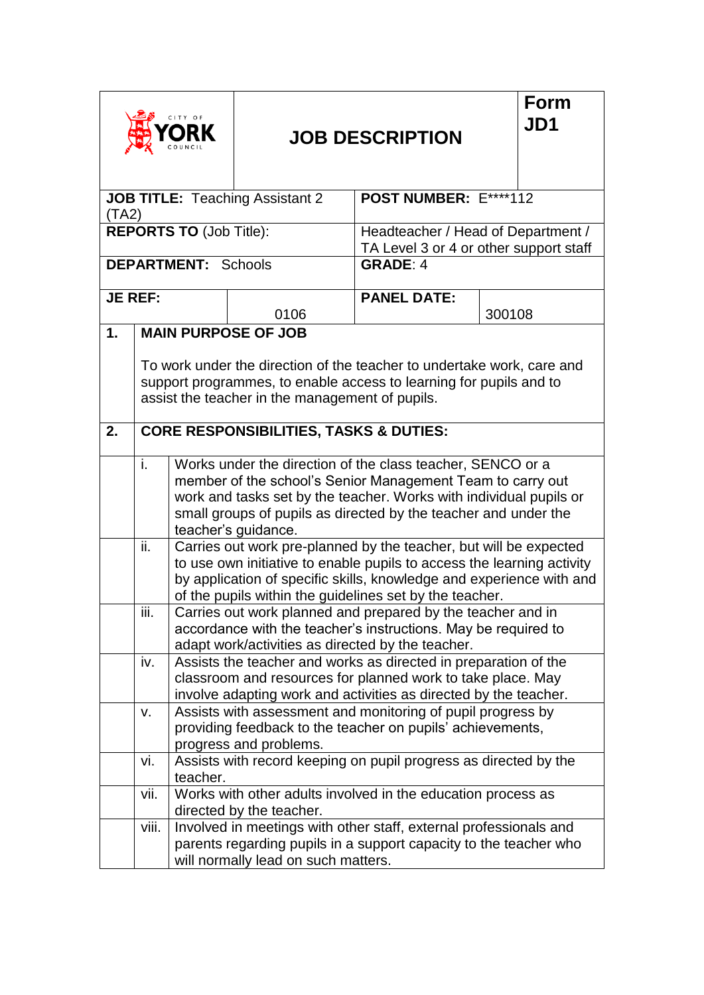| CITY OF                                         |                            |                                                                                                                                                                                                    |                                                   | <b>JOB DESCRIPTION</b>                                                                                                                                                                                                                                                         |        | Form<br>JD1 |
|-------------------------------------------------|----------------------------|----------------------------------------------------------------------------------------------------------------------------------------------------------------------------------------------------|---------------------------------------------------|--------------------------------------------------------------------------------------------------------------------------------------------------------------------------------------------------------------------------------------------------------------------------------|--------|-------------|
| <b>JOB TITLE:</b> Teaching Assistant 2<br>(TA2) |                            |                                                                                                                                                                                                    |                                                   | POST NUMBER: E****112                                                                                                                                                                                                                                                          |        |             |
| <b>REPORTS TO (Job Title):</b>                  |                            |                                                                                                                                                                                                    |                                                   | Headteacher / Head of Department /<br>TA Level 3 or 4 or other support staff                                                                                                                                                                                                   |        |             |
|                                                 |                            | <b>DEPARTMENT:</b> Schools                                                                                                                                                                         |                                                   | <b>GRADE: 4</b>                                                                                                                                                                                                                                                                |        |             |
| <b>JE REF:</b>                                  |                            |                                                                                                                                                                                                    | 0106                                              | <b>PANEL DATE:</b>                                                                                                                                                                                                                                                             | 300108 |             |
| 1.                                              | <b>MAIN PURPOSE OF JOB</b> |                                                                                                                                                                                                    |                                                   |                                                                                                                                                                                                                                                                                |        |             |
|                                                 |                            | To work under the direction of the teacher to undertake work, care and<br>support programmes, to enable access to learning for pupils and to<br>assist the teacher in the management of pupils.    |                                                   |                                                                                                                                                                                                                                                                                |        |             |
| 2.                                              |                            | <b>CORE RESPONSIBILITIES, TASKS &amp; DUTIES:</b>                                                                                                                                                  |                                                   |                                                                                                                                                                                                                                                                                |        |             |
|                                                 | i.                         |                                                                                                                                                                                                    | teacher's guidance.                               | Works under the direction of the class teacher, SENCO or a<br>member of the school's Senior Management Team to carry out<br>work and tasks set by the teacher. Works with individual pupils or<br>small groups of pupils as directed by the teacher and under the              |        |             |
|                                                 | ii.                        |                                                                                                                                                                                                    |                                                   | Carries out work pre-planned by the teacher, but will be expected<br>to use own initiative to enable pupils to access the learning activity<br>by application of specific skills, knowledge and experience with and<br>of the pupils within the guidelines set by the teacher. |        |             |
|                                                 | iii.                       |                                                                                                                                                                                                    | adapt work/activities as directed by the teacher. | Carries out work planned and prepared by the teacher and in<br>accordance with the teacher's instructions. May be required to                                                                                                                                                  |        |             |
|                                                 | iv.                        | Assists the teacher and works as directed in preparation of the<br>classroom and resources for planned work to take place. May<br>involve adapting work and activities as directed by the teacher. |                                                   |                                                                                                                                                                                                                                                                                |        |             |
|                                                 | V.                         | Assists with assessment and monitoring of pupil progress by<br>providing feedback to the teacher on pupils' achievements,<br>progress and problems.                                                |                                                   |                                                                                                                                                                                                                                                                                |        |             |
|                                                 | vi.                        | teacher.                                                                                                                                                                                           |                                                   | Assists with record keeping on pupil progress as directed by the                                                                                                                                                                                                               |        |             |
|                                                 | vii.                       |                                                                                                                                                                                                    | directed by the teacher.                          | Works with other adults involved in the education process as                                                                                                                                                                                                                   |        |             |
|                                                 | viii.                      |                                                                                                                                                                                                    | will normally lead on such matters.               | Involved in meetings with other staff, external professionals and<br>parents regarding pupils in a support capacity to the teacher who                                                                                                                                         |        |             |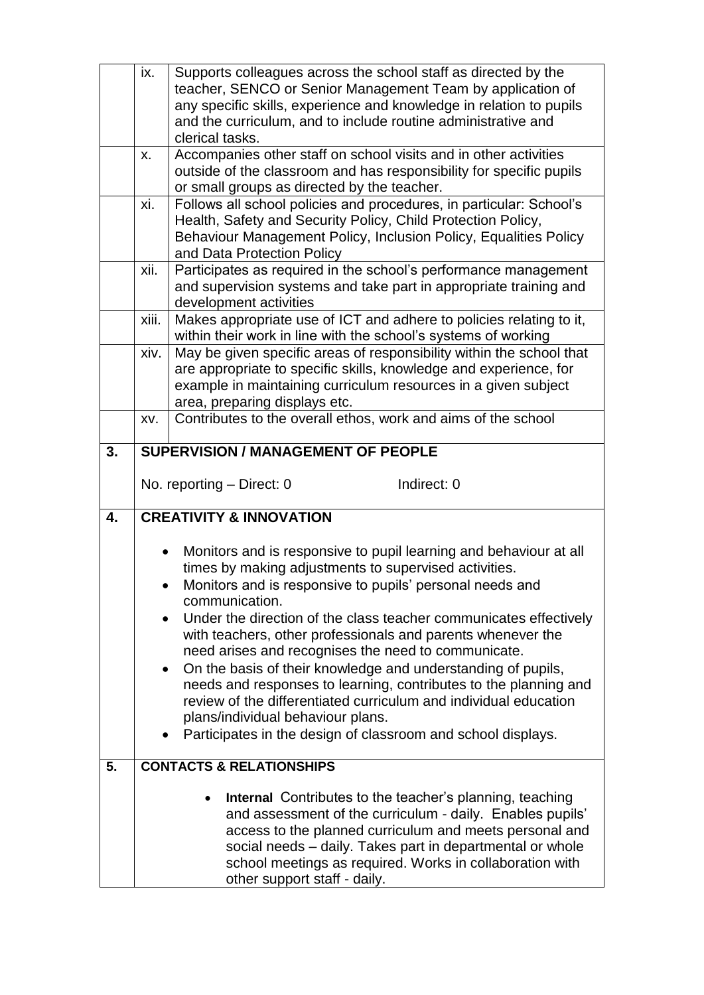|    | ix.                                 | Supports colleagues across the school staff as directed by the<br>teacher, SENCO or Senior Management Team by application of<br>any specific skills, experience and knowledge in relation to pupils<br>and the curriculum, and to include routine administrative and                                                                                                                                                                                                                                                                                                                                                                                                                                             |  |  |  |  |
|----|-------------------------------------|------------------------------------------------------------------------------------------------------------------------------------------------------------------------------------------------------------------------------------------------------------------------------------------------------------------------------------------------------------------------------------------------------------------------------------------------------------------------------------------------------------------------------------------------------------------------------------------------------------------------------------------------------------------------------------------------------------------|--|--|--|--|
|    | X.                                  | clerical tasks.<br>Accompanies other staff on school visits and in other activities<br>outside of the classroom and has responsibility for specific pupils<br>or small groups as directed by the teacher.                                                                                                                                                                                                                                                                                                                                                                                                                                                                                                        |  |  |  |  |
|    | xi.                                 | Follows all school policies and procedures, in particular: School's<br>Health, Safety and Security Policy, Child Protection Policy,<br>Behaviour Management Policy, Inclusion Policy, Equalities Policy<br>and Data Protection Policy                                                                                                                                                                                                                                                                                                                                                                                                                                                                            |  |  |  |  |
|    | xii.                                | Participates as required in the school's performance management<br>and supervision systems and take part in appropriate training and<br>development activities                                                                                                                                                                                                                                                                                                                                                                                                                                                                                                                                                   |  |  |  |  |
|    | xiii.                               | Makes appropriate use of ICT and adhere to policies relating to it,<br>within their work in line with the school's systems of working                                                                                                                                                                                                                                                                                                                                                                                                                                                                                                                                                                            |  |  |  |  |
|    | xiv.                                | May be given specific areas of responsibility within the school that<br>are appropriate to specific skills, knowledge and experience, for<br>example in maintaining curriculum resources in a given subject<br>area, preparing displays etc.                                                                                                                                                                                                                                                                                                                                                                                                                                                                     |  |  |  |  |
|    | XV.                                 | Contributes to the overall ethos, work and aims of the school                                                                                                                                                                                                                                                                                                                                                                                                                                                                                                                                                                                                                                                    |  |  |  |  |
| 3. |                                     | <b>SUPERVISION / MANAGEMENT OF PEOPLE</b>                                                                                                                                                                                                                                                                                                                                                                                                                                                                                                                                                                                                                                                                        |  |  |  |  |
|    |                                     | No. reporting - Direct: 0<br>Indirect: 0                                                                                                                                                                                                                                                                                                                                                                                                                                                                                                                                                                                                                                                                         |  |  |  |  |
| 4. |                                     | <b>CREATIVITY &amp; INNOVATION</b>                                                                                                                                                                                                                                                                                                                                                                                                                                                                                                                                                                                                                                                                               |  |  |  |  |
|    | $\bullet$<br>$\bullet$<br>$\bullet$ | Monitors and is responsive to pupil learning and behaviour at all<br>times by making adjustments to supervised activities.<br>Monitors and is responsive to pupils' personal needs and<br>communication.<br>Under the direction of the class teacher communicates effectively<br>with teachers, other professionals and parents whenever the<br>need arises and recognises the need to communicate.<br>On the basis of their knowledge and understanding of pupils,<br>needs and responses to learning, contributes to the planning and<br>review of the differentiated curriculum and individual education<br>plans/individual behaviour plans.<br>Participates in the design of classroom and school displays. |  |  |  |  |
| 5. |                                     | <b>CONTACTS &amp; RELATIONSHIPS</b>                                                                                                                                                                                                                                                                                                                                                                                                                                                                                                                                                                                                                                                                              |  |  |  |  |
|    |                                     | Internal Contributes to the teacher's planning, teaching<br>and assessment of the curriculum - daily. Enables pupils'<br>access to the planned curriculum and meets personal and<br>social needs - daily. Takes part in departmental or whole<br>school meetings as required. Works in collaboration with<br>other support staff - daily.                                                                                                                                                                                                                                                                                                                                                                        |  |  |  |  |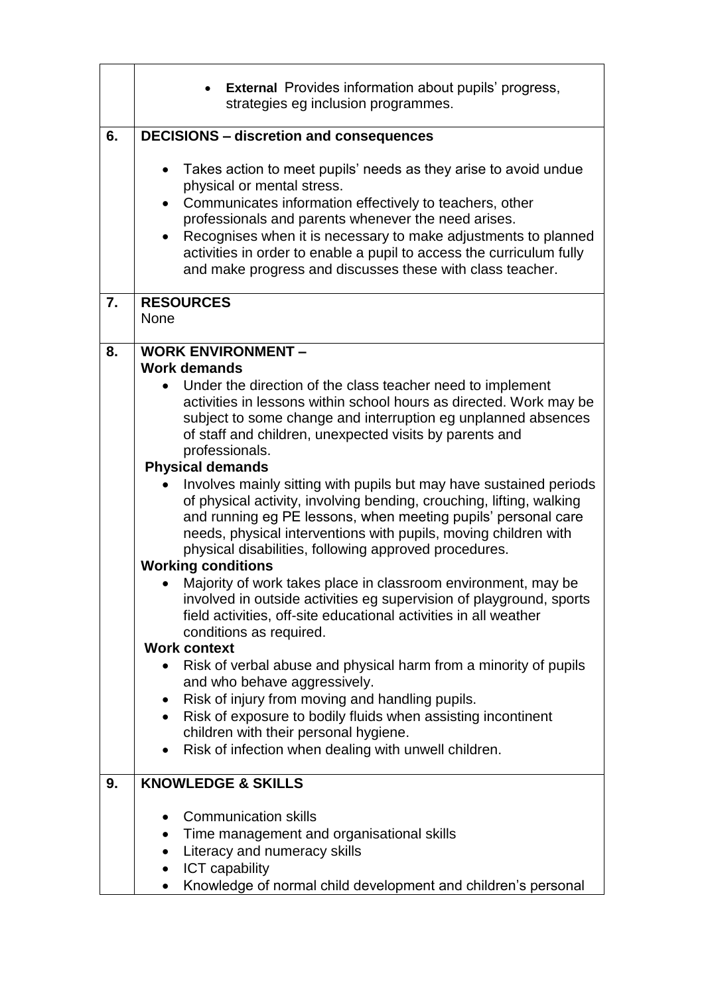|    | <b>External</b> Provides information about pupils' progress,<br>strategies eg inclusion programmes.                                                                                                                                                                                                                                                                                                                                                                                                                                                                                                                                                                                                                                                                                                                                                                                                                                               |
|----|---------------------------------------------------------------------------------------------------------------------------------------------------------------------------------------------------------------------------------------------------------------------------------------------------------------------------------------------------------------------------------------------------------------------------------------------------------------------------------------------------------------------------------------------------------------------------------------------------------------------------------------------------------------------------------------------------------------------------------------------------------------------------------------------------------------------------------------------------------------------------------------------------------------------------------------------------|
| 6. | <b>DECISIONS - discretion and consequences</b>                                                                                                                                                                                                                                                                                                                                                                                                                                                                                                                                                                                                                                                                                                                                                                                                                                                                                                    |
|    | Takes action to meet pupils' needs as they arise to avoid undue<br>$\bullet$<br>physical or mental stress.<br>Communicates information effectively to teachers, other<br>$\bullet$<br>professionals and parents whenever the need arises.<br>Recognises when it is necessary to make adjustments to planned<br>activities in order to enable a pupil to access the curriculum fully<br>and make progress and discusses these with class teacher.                                                                                                                                                                                                                                                                                                                                                                                                                                                                                                  |
| 7. | <b>RESOURCES</b><br><b>None</b>                                                                                                                                                                                                                                                                                                                                                                                                                                                                                                                                                                                                                                                                                                                                                                                                                                                                                                                   |
| 8. | <b>WORK ENVIRONMENT -</b><br><b>Work demands</b><br>Under the direction of the class teacher need to implement<br>activities in lessons within school hours as directed. Work may be<br>subject to some change and interruption eg unplanned absences<br>of staff and children, unexpected visits by parents and<br>professionals.<br><b>Physical demands</b><br>Involves mainly sitting with pupils but may have sustained periods<br>of physical activity, involving bending, crouching, lifting, walking<br>and running eg PE lessons, when meeting pupils' personal care<br>needs, physical interventions with pupils, moving children with<br>physical disabilities, following approved procedures.<br><b>Working conditions</b><br>Majority of work takes place in classroom environment, may be<br>involved in outside activities eg supervision of playground, sports<br>field activities, off-site educational activities in all weather |
|    | conditions as required.<br><b>Work context</b>                                                                                                                                                                                                                                                                                                                                                                                                                                                                                                                                                                                                                                                                                                                                                                                                                                                                                                    |
|    | Risk of verbal abuse and physical harm from a minority of pupils<br>and who behave aggressively.<br>Risk of injury from moving and handling pupils.<br>$\bullet$<br>Risk of exposure to bodily fluids when assisting incontinent<br>children with their personal hygiene.<br>Risk of infection when dealing with unwell children.                                                                                                                                                                                                                                                                                                                                                                                                                                                                                                                                                                                                                 |
| 9. | <b>KNOWLEDGE &amp; SKILLS</b>                                                                                                                                                                                                                                                                                                                                                                                                                                                                                                                                                                                                                                                                                                                                                                                                                                                                                                                     |
|    | <b>Communication skills</b><br>$\bullet$<br>Time management and organisational skills<br>$\bullet$<br>Literacy and numeracy skills<br><b>ICT</b> capability<br>$\bullet$<br>Knowledge of normal child development and children's personal                                                                                                                                                                                                                                                                                                                                                                                                                                                                                                                                                                                                                                                                                                         |